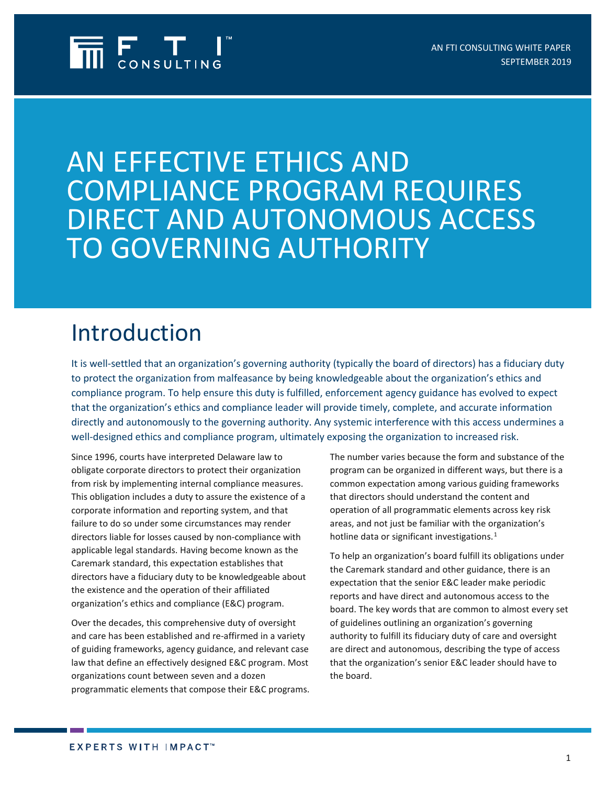

AN EFFECTIVE ETHICS AND COMPLIANCE PROGRAM REQUIRES DIRECT AND AUTONOMOUS ACCESS TO GOVERNING AUTHORITY

# Introduction

It is well-settled that an organization's governing authority (typically the board of directors) has a fiduciary duty to protect the organization from malfeasance by being knowledgeable about the organization's ethics and compliance program. To help ensure this duty is fulfilled, enforcement agency guidance has evolved to expect that the organization's ethics and compliance leader will provide timely, complete, and accurate information directly and autonomously to the governing authority. Any systemic interference with this access undermines a well-designed ethics and compliance program, ultimately exposing the organization to increased risk.

Since 1996, courts have interpreted Delaware law to obligate corporate directors to protect their organization from risk by implementing internal compliance measures. This obligation includes a duty to assure the existence of a corporate information and reporting system, and that failure to do so under some circumstances may render directors liable for losses caused by non-compliance with applicable legal standards. Having become known as the Caremark standard, this expectation establishes that directors have a fiduciary duty to be knowledgeable about the existence and the operation of their affiliated organization's ethics and compliance (E&C) program.

Over the decades, this comprehensive duty of oversight and care has been established and re-affirmed in a variety of guiding frameworks, agency guidance, and relevant case law that define an effectively designed E&C program. Most organizations count between seven and a dozen programmatic elements that compose their E&C programs. The number varies because the form and substance of the program can be organized in different ways, but there is a common expectation among various guiding frameworks that directors should understand the content and operation of all programmatic elements across key risk areas, and not just be familiar with the organization's hotline data or significant investigations.<sup>[1](#page-3-0)</sup>

To help an organization's board fulfill its obligations under the Caremark standard and other guidance, there is an expectation that the senior E&C leader make periodic reports and have direct and autonomous access to the board. The key words that are common to almost every set of guidelines outlining an organization's governing authority to fulfill its fiduciary duty of care and oversight are direct and autonomous, describing the type of access that the organization's senior E&C leader should have to the board.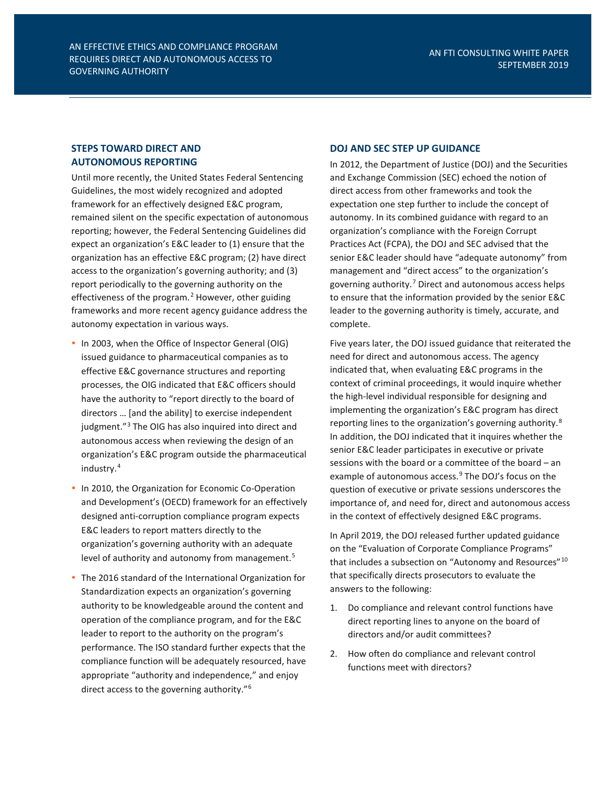## **STEPS TOWARD DIRECT AND AUTONOMOUS REPORTING**

Until more recently, the United States Federal Sentencing Guidelines, the most widely recognized and adopted framework for an effectively designed E&C program, remained silent on the specific expectation of autonomous reporting; however, the Federal Sentencing Guidelines did expect an organization's E&C leader to (1) ensure that the organization has an effective E&C program; (2) have direct access to the organization's governing authority; and (3) report periodically to the governing authority on the effectiveness of the program.<sup>[2](#page-3-1)</sup> However, other guiding frameworks and more recent agency guidance address the autonomy expectation in various ways.

- In 2003, when the Office of Inspector General (OIG) issued guidance to pharmaceutical companies as to effective E&C governance structures and reporting processes, the OIG indicated that E&C officers should have the authority to "report directly to the board of directors … [and the ability] to exercise independent judgment."[3](#page-3-2) The OIG has also inquired into direct and autonomous access when reviewing the design of an organization's E&C program outside the pharmaceutical industry.[4](#page-3-3)
- In 2010, the Organization for Economic Co-Operation and Development's (OECD) framework for an effectively designed anti-corruption compliance program expects E&C leaders to report matters directly to the organization's governing authority with an adequate level of authority and autonomy from management.<sup>[5](#page-3-4)</sup>
- The 2016 standard of the International Organization for Standardization expects an organization's governing authority to be knowledgeable around the content and operation of the compliance program, and for the E&C leader to report to the authority on the program's performance. The ISO standard further expects that the compliance function will be adequately resourced, have appropriate "authority and independence," and enjoy direct access to the governing authority."<sup>6</sup>

#### **DOJ AND SEC STEP UP GUIDANCE**

In 2012, the Department of Justice (DOJ) and the Securities and Exchange Commission (SEC) echoed the notion of direct access from other frameworks and took the expectation one step further to include the concept of autonomy. In its combined guidance with regard to an organization's compliance with the Foreign Corrupt Practices Act (FCPA), the DOJ and SEC advised that the senior E&C leader should have "adequate autonomy" from management and "direct access" to the organization's governing authority.[7](#page-3-6) Direct and autonomous access helps to ensure that the information provided by the senior E&C leader to the governing authority is timely, accurate, and complete.

Five years later, the DOJ issued guidance that reiterated the need for direct and autonomous access. The agency indicated that, when evaluating E&C programs in the context of criminal proceedings, it would inquire whether the high-level individual responsible for designing and implementing the organization's E&C program has direct reporting lines to the organization's governing authority.[8](#page-3-7) In addition, the DOJ indicated that it inquires whether the senior E&C leader participates in executive or private sessions with the board or a committee of the board – an example of autonomous access.<sup>[9](#page-3-8)</sup> The DOJ's focus on the question of executive or private sessions underscores the importance of, and need for, direct and autonomous access in the context of effectively designed E&C programs.

In April 2019, the DOJ released further updated guidance on the "Evaluation of Corporate Compliance Programs" that includes a subsection on "Autonomy and Resources"<sup>[10](#page-3-9)</sup> that specifically directs prosecutors to evaluate the answers to the following:

- 1. Do compliance and relevant control functions have direct reporting lines to anyone on the board of directors and/or audit committees?
- 2. How often do compliance and relevant control functions meet with directors?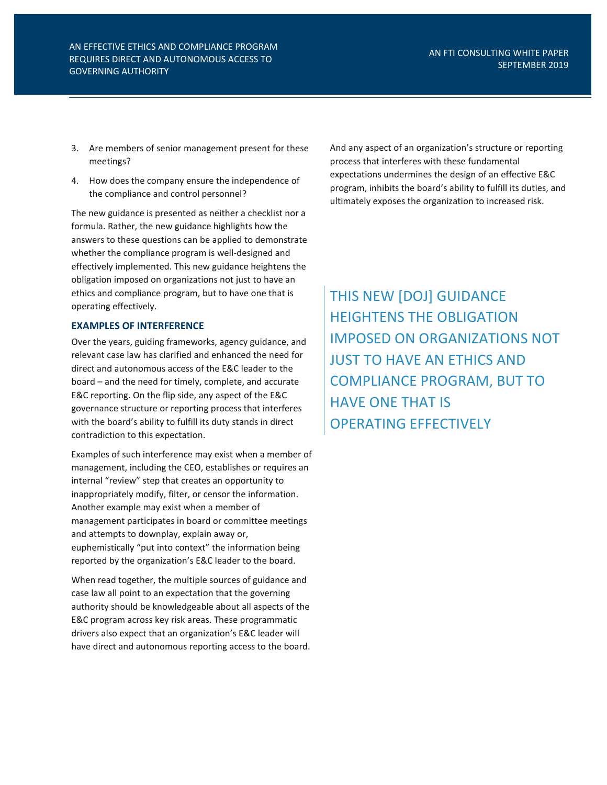- 3. Are members of senior management present for these meetings?
- 4. How does the company ensure the independence of the compliance and control personnel?

The new guidance is presented as neither a checklist nor a formula. Rather, the new guidance highlights how the answers to these questions can be applied to demonstrate whether the compliance program is well-designed and effectively implemented. This new guidance heightens the obligation imposed on organizations not just to have an ethics and compliance program, but to have one that is operating effectively.

### **EXAMPLES OF INTERFERENCE**

Over the years, guiding frameworks, agency guidance, and relevant case law has clarified and enhanced the need for direct and autonomous access of the E&C leader to the board – and the need for timely, complete, and accurate E&C reporting. On the flip side, any aspect of the E&C governance structure or reporting process that interferes with the board's ability to fulfill its duty stands in direct contradiction to this expectation.

Examples of such interference may exist when a member of management, including the CEO, establishes or requires an internal "review" step that creates an opportunity to inappropriately modify, filter, or censor the information. Another example may exist when a member of management participates in board or committee meetings and attempts to downplay, explain away or, euphemistically "put into context" the information being reported by the organization's E&C leader to the board.

When read together, the multiple sources of guidance and case law all point to an expectation that the governing authority should be knowledgeable about all aspects of the E&C program across key risk areas. These programmatic drivers also expect that an organization's E&C leader will have direct and autonomous reporting access to the board. And any aspect of an organization's structure or reporting process that interferes with these fundamental expectations undermines the design of an effective E&C program, inhibits the board's ability to fulfill its duties, and ultimately exposes the organization to increased risk.

THIS NEW [DOJ] GUIDANCE HEIGHTENS THE OBLIGATION IMPOSED ON ORGANIZATIONS NOT JUST TO HAVE AN ETHICS AND COMPLIANCE PROGRAM, BUT TO HAVE ONE THAT IS OPERATING EFFECTIVELY